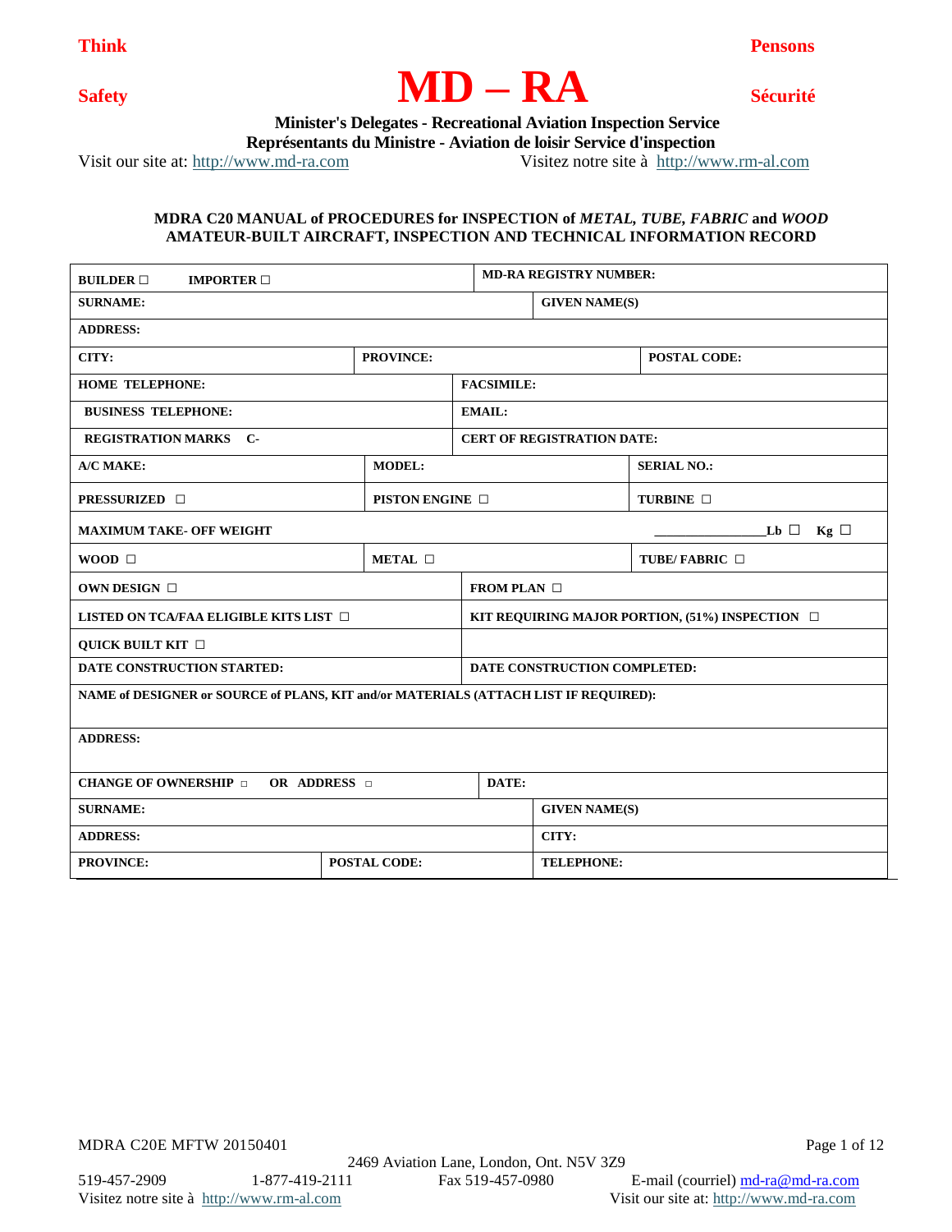

 **Minister's Delegates - Recreational Aviation Inspection Service**

 **Représentants du Ministre - Aviation de loisir Service d'inspection**

Visit our site at: [http://www.md-ra.com](http://www.md-ra.com/) Visitez notre site à [http://www.rm-al.com](http://www.rm-al.com/)

## **MDRA C20 MANUAL of PROCEDURES for INSPECTION of** *METAL, TUBE, FABRIC* **and** *WOOD* **AMATEUR-BUILT AIRCRAFT, INSPECTION AND TECHNICAL INFORMATION RECORD**

| <b>BUILDER</b> $\Box$<br><b>IMPORTER</b> $\Box$                                      |                      | <b>MD-RA REGISTRY NUMBER:</b>                           |                                   |                     |  |
|--------------------------------------------------------------------------------------|----------------------|---------------------------------------------------------|-----------------------------------|---------------------|--|
| <b>SURNAME:</b>                                                                      |                      | <b>GIVEN NAME(S)</b>                                    |                                   |                     |  |
| <b>ADDRESS:</b>                                                                      |                      |                                                         |                                   |                     |  |
| CITY:                                                                                | <b>PROVINCE:</b>     |                                                         |                                   | <b>POSTAL CODE:</b> |  |
| <b>HOME TELEPHONE:</b>                                                               |                      | <b>FACSIMILE:</b>                                       |                                   |                     |  |
| <b>BUSINESS TELEPHONE:</b>                                                           |                      | <b>EMAIL:</b>                                           |                                   |                     |  |
| <b>REGISTRATION MARKS C-</b>                                                         |                      |                                                         | <b>CERT OF REGISTRATION DATE:</b> |                     |  |
| A/C MAKE:                                                                            | <b>MODEL:</b>        |                                                         |                                   | <b>SERIAL NO.:</b>  |  |
| <b>PRESSURIZED</b> □                                                                 | PISTON ENGINE $\Box$ |                                                         |                                   | TURBINE $\Box$      |  |
| <b>MAXIMUM TAKE- OFF WEIGHT</b>                                                      |                      |                                                         |                                   | Lb $\Box$ Kg $\Box$ |  |
| METAL $\Box$<br>WOOD $\Box$                                                          |                      | TUBE/FABRIC $\Box$                                      |                                   |                     |  |
| OWN DESIGN □                                                                         |                      |                                                         | FROM PLAN $\Box$                  |                     |  |
| LISTED ON TCA/FAA ELIGIBLE KITS LIST                                                 |                      | KIT REQUIRING MAJOR PORTION, $(51\%)$ INSPECTION $\Box$ |                                   |                     |  |
| <b>QUICK BUILT KIT</b> □                                                             |                      |                                                         |                                   |                     |  |
| DATE CONSTRUCTION STARTED:                                                           |                      |                                                         | DATE CONSTRUCTION COMPLETED:      |                     |  |
| NAME of DESIGNER or SOURCE of PLANS, KIT and/or MATERIALS (ATTACH LIST IF REQUIRED): |                      |                                                         |                                   |                     |  |
| <b>ADDRESS:</b>                                                                      |                      |                                                         |                                   |                     |  |
|                                                                                      |                      |                                                         |                                   |                     |  |
| OR ADDRESS <b>D</b><br>DATE:<br><b>CHANGE OF OWNERSHIP</b>                           |                      |                                                         |                                   |                     |  |
| <b>SURNAME:</b>                                                                      |                      |                                                         | <b>GIVEN NAME(S)</b>              |                     |  |
| <b>ADDRESS:</b>                                                                      |                      |                                                         | CITY:                             |                     |  |
| <b>PROVINCE:</b><br><b>POSTAL CODE:</b>                                              |                      |                                                         | <b>TELEPHONE:</b>                 |                     |  |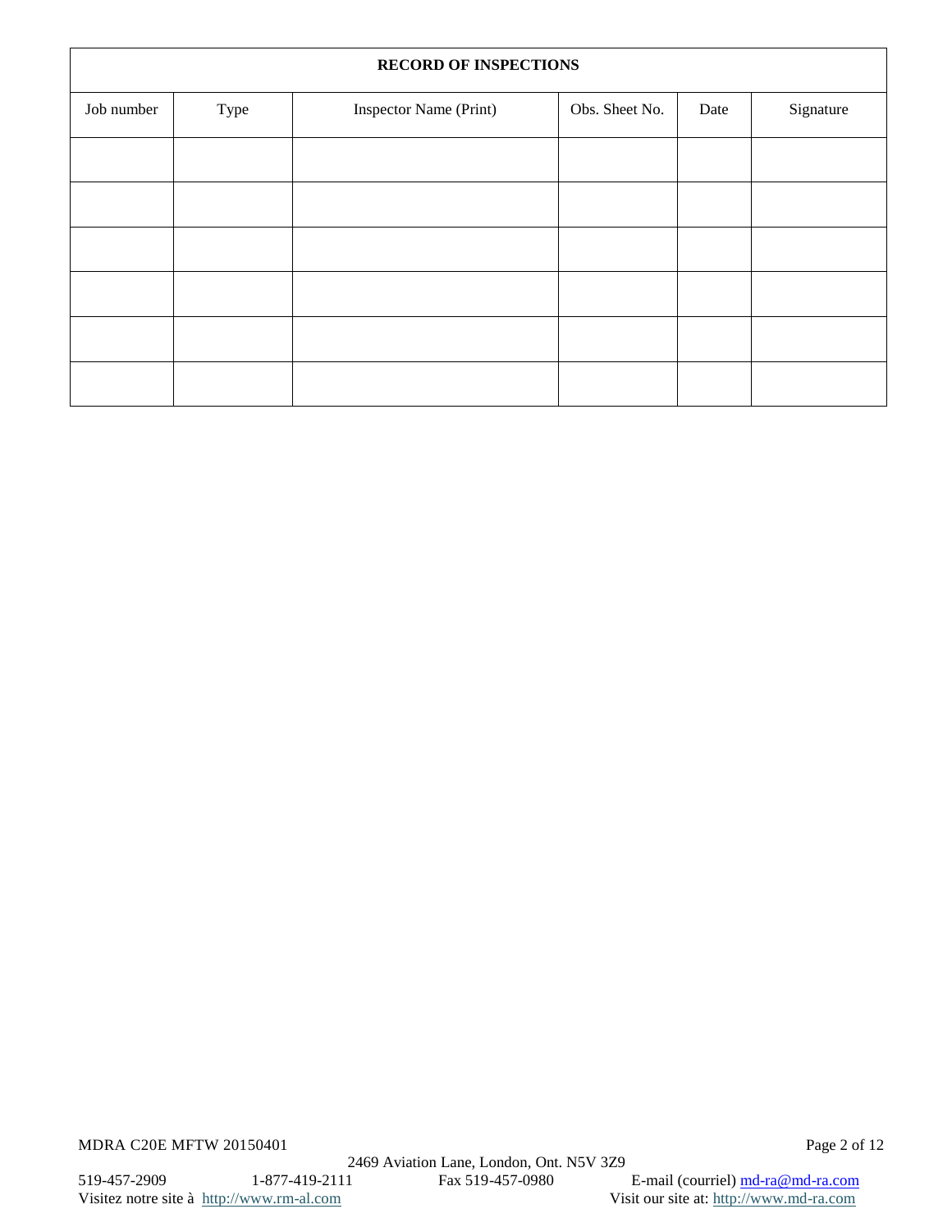|            | <b>RECORD OF INSPECTIONS</b> |                        |                |      |           |  |
|------------|------------------------------|------------------------|----------------|------|-----------|--|
| Job number | Type                         | Inspector Name (Print) | Obs. Sheet No. | Date | Signature |  |
|            |                              |                        |                |      |           |  |
|            |                              |                        |                |      |           |  |
|            |                              |                        |                |      |           |  |
|            |                              |                        |                |      |           |  |
|            |                              |                        |                |      |           |  |
|            |                              |                        |                |      |           |  |

MDRA C20E MFTW 20150401 Page 2 of 12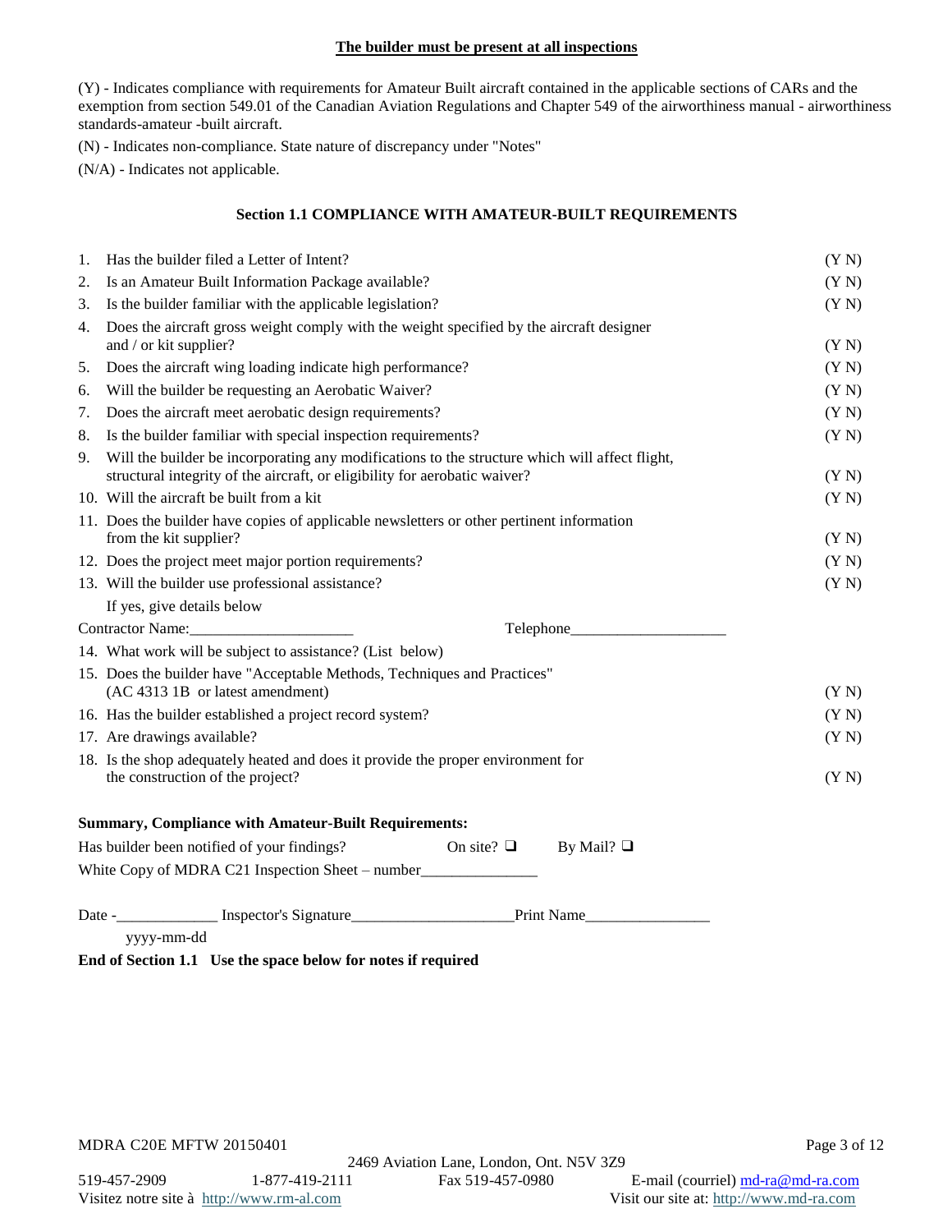## **The builder must be present at all inspections**

(Y) - Indicates compliance with requirements for Amateur Built aircraft contained in the applicable sections of CARs and the exemption from section 549.01 of the Canadian Aviation Regulations and Chapter 549 of the airworthiness manual - airworthiness standards-amateur -built aircraft.

(N) - Indicates non-compliance. State nature of discrepancy under "Notes"

(N/A) - Indicates not applicable.

# **Section 1.1 COMPLIANCE WITH AMATEUR-BUILT REQUIREMENTS**

| 1. | Has the builder filed a Letter of Intent?                                                                                                                                    | (Y N) |  |
|----|------------------------------------------------------------------------------------------------------------------------------------------------------------------------------|-------|--|
| 2. | Is an Amateur Built Information Package available?                                                                                                                           |       |  |
| 3. | Is the builder familiar with the applicable legislation?                                                                                                                     | (Y N) |  |
| 4. | Does the aircraft gross weight comply with the weight specified by the aircraft designer<br>and / or kit supplier?                                                           | (Y N) |  |
| 5. | Does the aircraft wing loading indicate high performance?                                                                                                                    | (Y N) |  |
| 6. | Will the builder be requesting an Aerobatic Waiver?                                                                                                                          | (Y N) |  |
| 7. | Does the aircraft meet aerobatic design requirements?                                                                                                                        | (Y N) |  |
| 8. | Is the builder familiar with special inspection requirements?                                                                                                                | (Y N) |  |
| 9. | Will the builder be incorporating any modifications to the structure which will affect flight,<br>structural integrity of the aircraft, or eligibility for aerobatic waiver? | (Y N) |  |
|    | 10. Will the aircraft be built from a kit                                                                                                                                    | (Y N) |  |
|    | 11. Does the builder have copies of applicable newsletters or other pertinent information<br>from the kit supplier?                                                          | (Y N) |  |
|    | 12. Does the project meet major portion requirements?                                                                                                                        | (Y N) |  |
|    | 13. Will the builder use professional assistance?                                                                                                                            | (Y N) |  |
|    | If yes, give details below                                                                                                                                                   |       |  |
|    |                                                                                                                                                                              |       |  |
|    | 14. What work will be subject to assistance? (List below)                                                                                                                    |       |  |
|    | 15. Does the builder have "Acceptable Methods, Techniques and Practices"<br>(AC 4313 1B or latest amendment)                                                                 | (Y N) |  |
|    | 16. Has the builder established a project record system?                                                                                                                     | (Y N) |  |
|    | 17. Are drawings available?                                                                                                                                                  | (Y N) |  |
|    | 18. Is the shop adequately heated and does it provide the proper environment for<br>the construction of the project?                                                         | (Y N) |  |
|    | <b>Summary, Compliance with Amateur-Built Requirements:</b>                                                                                                                  |       |  |
|    | Has builder been notified of your findings?<br>On site? $\Box$<br>By Mail? $\Box$                                                                                            |       |  |
|    | White Copy of MDRA C21 Inspection Sheet – number_________________________________                                                                                            |       |  |
|    |                                                                                                                                                                              |       |  |
|    | yyyy-mm-dd                                                                                                                                                                   |       |  |

**End of Section 1.1 Use the space below for notes if required**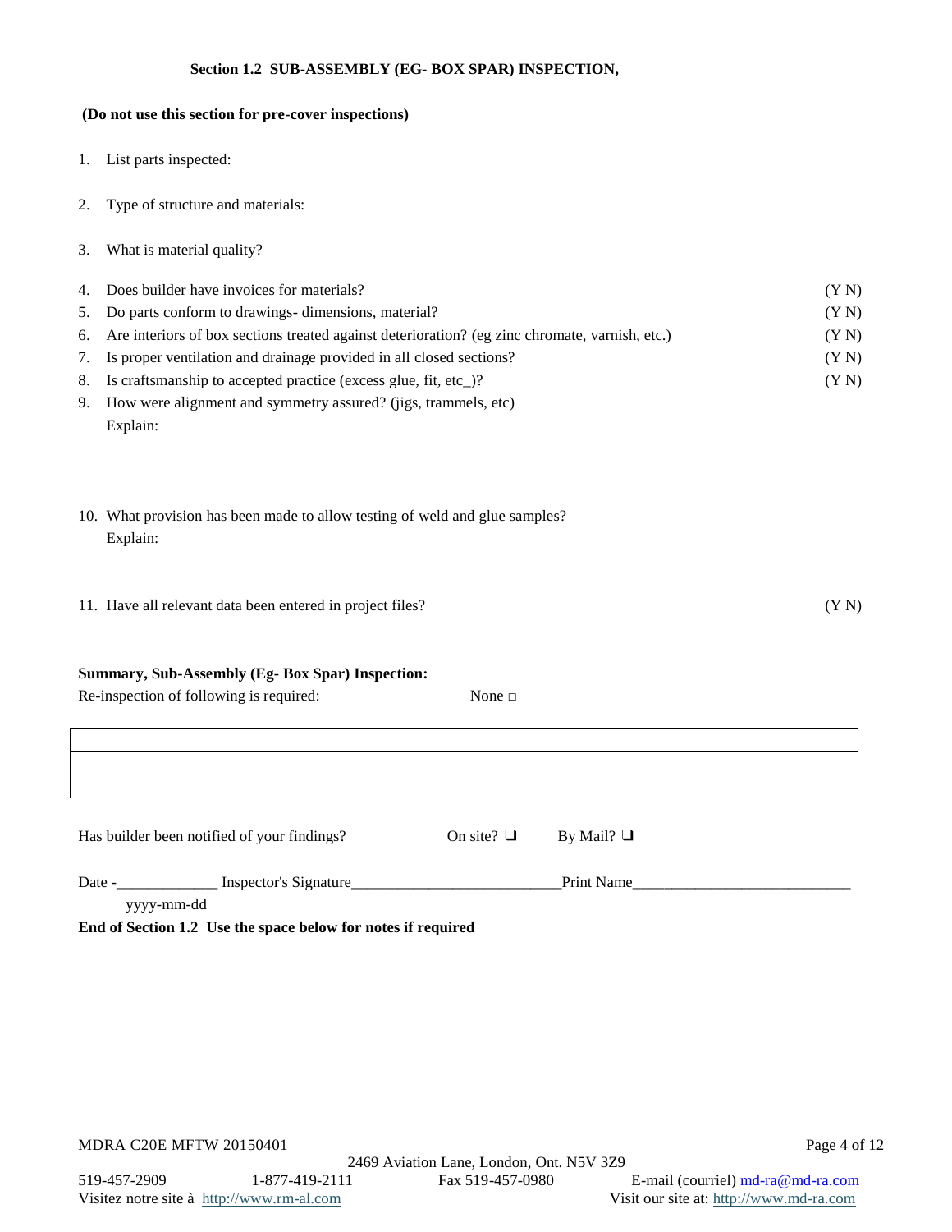## **Section 1.2 SUB-ASSEMBLY (EG- BOX SPAR) INSPECTION,**

# **(Do not use this section for pre-cover inspections)**

- 1. List parts inspected:
- 2. Type of structure and materials:
- 3. What is material quality?

| 4. Does builder have invoices for materials?                                                      | (YN)  |
|---------------------------------------------------------------------------------------------------|-------|
| 5. Do parts conform to drawings-dimensions, material?                                             | (Y N) |
| 6. Are interiors of box sections treated against deterioration? (eg zinc chromate, varnish, etc.) | (YN)  |
| 7. Is proper ventilation and drainage provided in all closed sections?                            | (Y N) |
| 8. Is craftsmanship to accepted practice (excess glue, fit, etc)?                                 | (Y N) |
| 9. How were alignment and symmetry assured? (jigs, trammels, etc)                                 |       |

- Explain:
- 10. What provision has been made to allow testing of weld and glue samples? Explain:
- 11. Have all relevant data been entered in project files? (Y N)

#### **Summary, Sub-Assembly (Eg- Box Spar) Inspection:**

| Re-inspection of following is required: | None $\square$ |
|-----------------------------------------|----------------|
|                                         |                |

| Has builder been notified of your findings? | On site? $\Box$ By Mail? $\Box$ |  |
|---------------------------------------------|---------------------------------|--|

| Date - | Inspector's Signature                                        | Print Name |  |
|--------|--------------------------------------------------------------|------------|--|
|        | yyyy-mm-dd                                                   |            |  |
|        | End of Section 1.2 Use the space below for notes if required |            |  |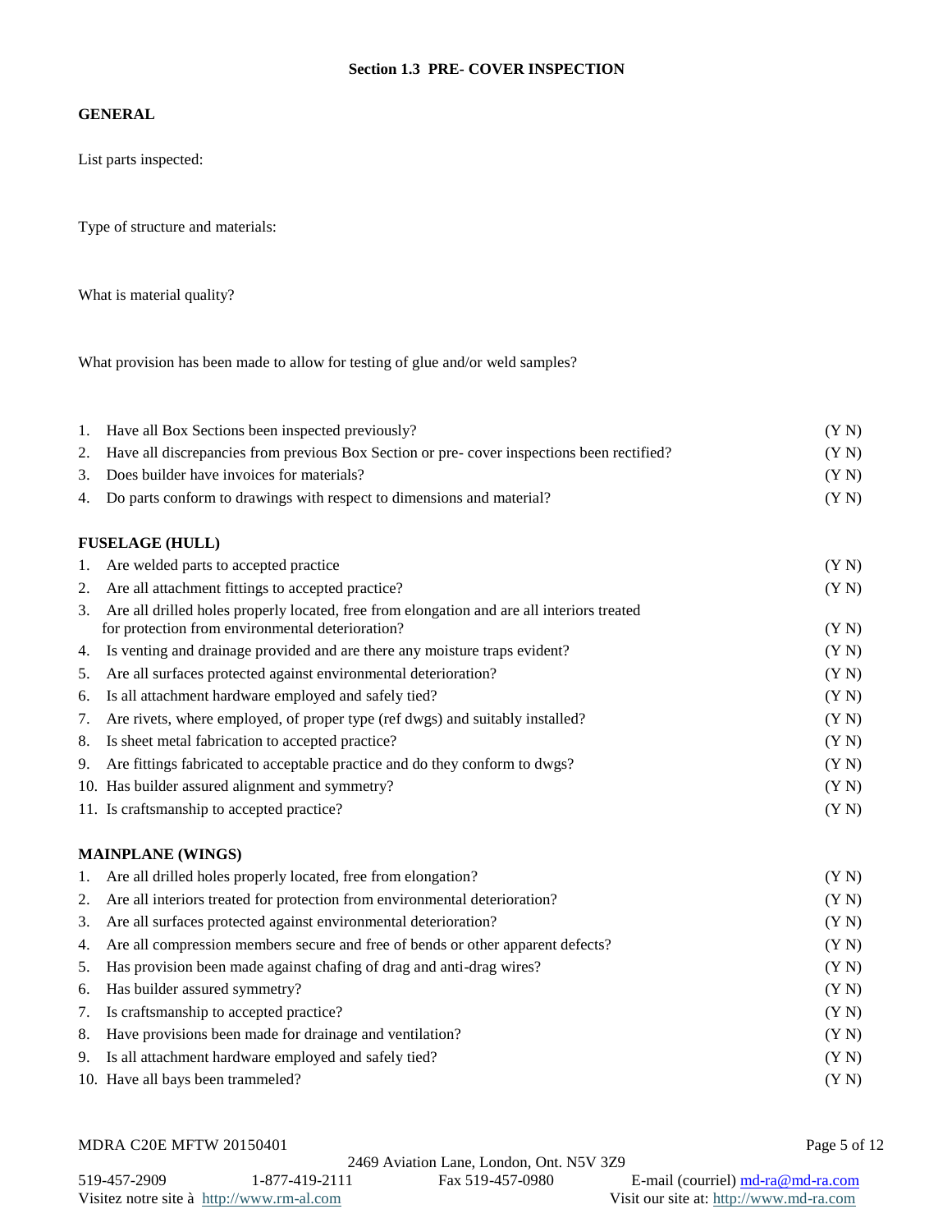# **Section 1.3 PRE- COVER INSPECTION**

## **GENERAL**

List parts inspected:

Type of structure and materials:

What is material quality?

What provision has been made to allow for testing of glue and/or weld samples?

| 1. | Have all Box Sections been inspected previously?                                                                                               | (Y N) |
|----|------------------------------------------------------------------------------------------------------------------------------------------------|-------|
| 2. | Have all discrepancies from previous Box Section or pre- cover inspections been rectified?                                                     | (Y N) |
| 3. | Does builder have invoices for materials?                                                                                                      | (Y N) |
| 4. | Do parts conform to drawings with respect to dimensions and material?                                                                          | (Y N) |
|    | <b>FUSELAGE (HULL)</b>                                                                                                                         |       |
| 1. | Are welded parts to accepted practice                                                                                                          | (Y N) |
| 2. | Are all attachment fittings to accepted practice?                                                                                              | (Y N) |
| 3. | Are all drilled holes properly located, free from elongation and are all interiors treated<br>for protection from environmental deterioration? | (Y N) |
| 4. | Is venting and drainage provided and are there any moisture traps evident?                                                                     | (Y N) |
| 5. | Are all surfaces protected against environmental deterioration?                                                                                | (Y N) |
| 6. | Is all attachment hardware employed and safely tied?                                                                                           | (Y N) |
| 7. | Are rivets, where employed, of proper type (ref dwgs) and suitably installed?                                                                  | (Y N) |
| 8. | Is sheet metal fabrication to accepted practice?                                                                                               | (Y N) |
| 9. | Are fittings fabricated to acceptable practice and do they conform to dwgs?                                                                    | (Y N) |
|    | 10. Has builder assured alignment and symmetry?                                                                                                | (Y N) |
|    | 11. Is craftsmanship to accepted practice?                                                                                                     | (Y N) |
|    | <b>MAINPLANE (WINGS)</b>                                                                                                                       |       |
| 1. | Are all drilled holes properly located, free from elongation?                                                                                  | (Y N) |
| 2. | Are all interiors treated for protection from environmental deterioration?                                                                     | (Y N) |
| 3. | Are all surfaces protected against environmental deterioration?                                                                                | (Y N) |
| 4. | Are all compression members secure and free of bends or other apparent defects?                                                                | (Y N) |
| 5. | Has provision been made against chafing of drag and anti-drag wires?                                                                           | (Y N) |
| 6. | Has builder assured symmetry?                                                                                                                  | (Y N) |
| 7. | Is craftsmanship to accepted practice?                                                                                                         | (Y N) |
| 8. | Have provisions been made for drainage and ventilation?                                                                                        | (Y N) |
| 9. | Is all attachment hardware employed and safely tied?                                                                                           | (Y N) |
|    | 10. Have all bays been trammeled?                                                                                                              | (Y N) |
|    |                                                                                                                                                |       |

# MDRA C20E MFTW 20150401 Page 5 of 12

2469 Aviation Lane, London, Ont. N5V 3Z9<br>1-877-419-2111 Fax 519-457-0980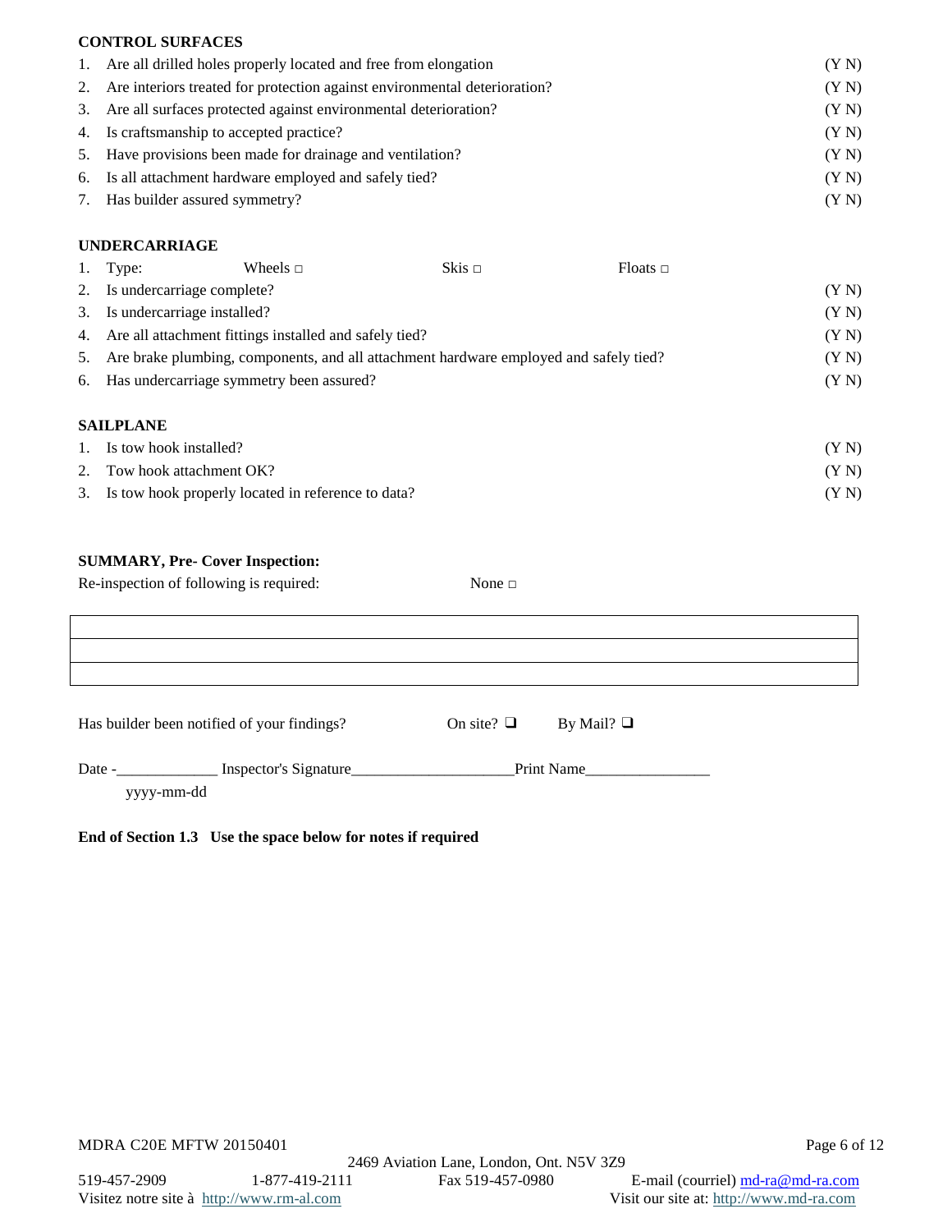## **CONTROL SURFACES**

| 1. Are all drilled holes properly located and free from elongation           | (Y N) |
|------------------------------------------------------------------------------|-------|
| 2. Are interiors treated for protection against environmental deterioration? | (YN)  |
| 3. Are all surfaces protected against environmental deterioration?           | (Y N) |
| 4. Is craftsmanship to accepted practice?                                    | (Y N) |
| 5. Have provisions been made for drainage and ventilation?                   | (YN)  |
| 6. Is all attachment hardware employed and safely tied?                      | (Y N) |
| 7. Has builder assured symmetry?                                             | (YN)  |

## **UNDERCARRIAGE**

| 1. | Type:                                                     | Wheels $\Box$ | Skis $\Box$                                                                           | Floats $\Box$ |       |
|----|-----------------------------------------------------------|---------------|---------------------------------------------------------------------------------------|---------------|-------|
|    | 2. Is undercarriage complete?                             |               |                                                                                       |               | (YN)  |
|    | 3. Is undercarriage installed?                            |               |                                                                                       |               | (YN)  |
|    | 4. Are all attachment fittings installed and safely tied? |               |                                                                                       |               | (YN)  |
| 5. |                                                           |               | Are brake plumbing, components, and all attachment hardware employed and safely tied? |               | (YN)  |
|    | 6. Has undercarriage symmetry been assured?               |               |                                                                                       |               | (YN)  |
|    | <b>SAILPLANE</b>                                          |               |                                                                                       |               |       |
| 1. | Is tow hook installed?                                    |               |                                                                                       |               | (Y N) |
|    | Tow hook attachment OK?                                   |               |                                                                                       |               | (YN)  |

3. Is tow hook properly located in reference to data? (Y N)

# **SUMMARY, Pre- Cover Inspection:**

Re-inspection of following is required: None  $\Box$ Has builder been notified of your findings? On site?  $\Box$  By Mail?  $\Box$ Date -\_\_\_\_\_\_\_\_\_\_\_\_\_ Inspector's Signature\_\_\_\_\_\_\_\_\_\_\_\_\_\_\_\_\_\_\_\_\_Print Name\_\_\_\_\_\_\_\_\_\_\_\_\_\_\_\_ yyyy-mm-dd

**End of Section 1.3 Use the space below for notes if required**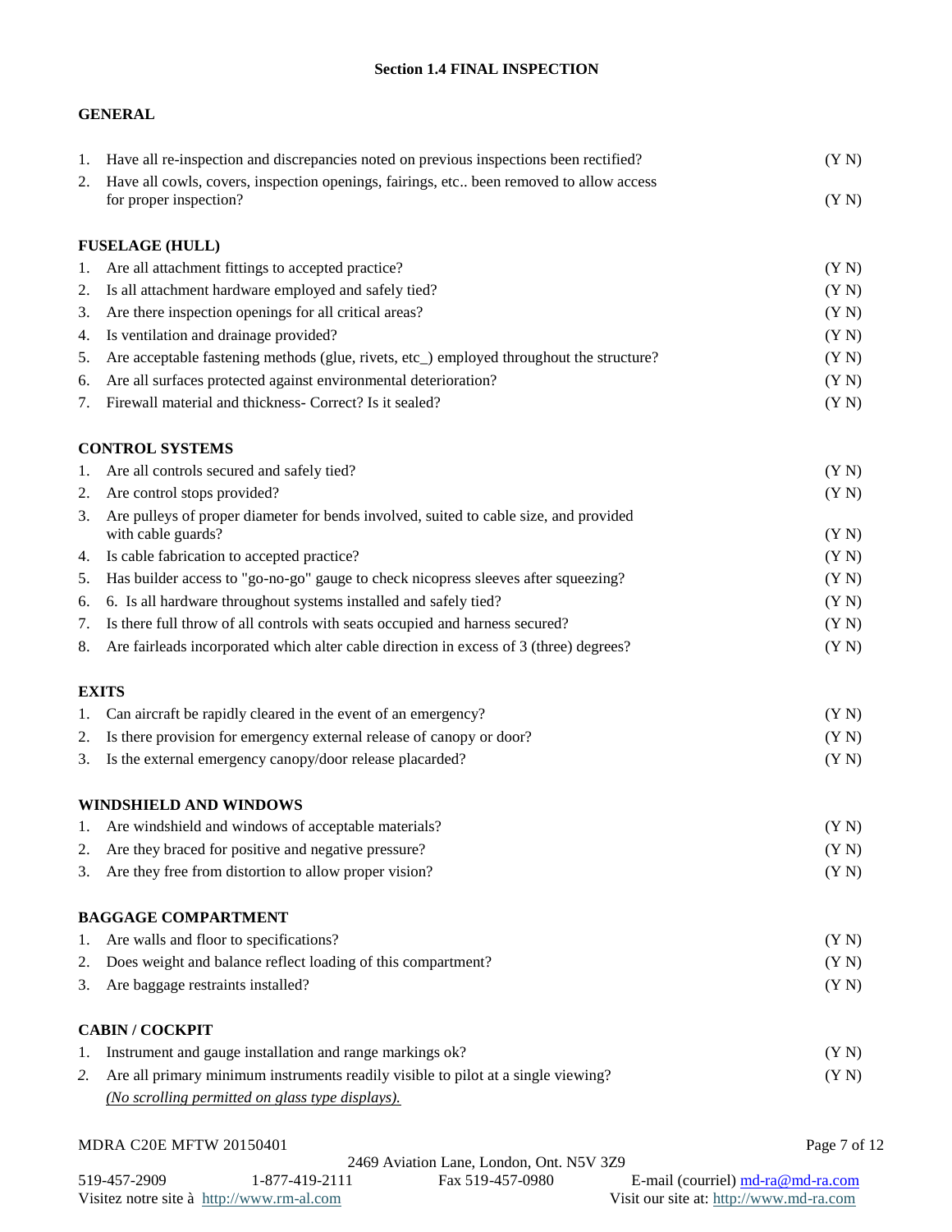# **Section 1.4 FINAL INSPECTION**

# **GENERAL**

| 1. | Have all re-inspection and discrepancies noted on previous inspections been rectified?   | (Y N)        |
|----|------------------------------------------------------------------------------------------|--------------|
| 2. | Have all cowls, covers, inspection openings, fairings, etc been removed to allow access  |              |
|    | for proper inspection?                                                                   | (Y N)        |
|    | <b>FUSELAGE (HULL)</b>                                                                   |              |
| 1. | Are all attachment fittings to accepted practice?                                        | (Y N)        |
| 2. | Is all attachment hardware employed and safely tied?                                     | (Y N)        |
| 3. | Are there inspection openings for all critical areas?                                    | (Y N)        |
| 4. | Is ventilation and drainage provided?                                                    | (Y N)        |
| 5. | Are acceptable fastening methods (glue, rivets, etc_) employed throughout the structure? | (Y N)        |
| 6. | Are all surfaces protected against environmental deterioration?                          | (Y N)        |
| 7. | Firewall material and thickness- Correct? Is it sealed?                                  | (Y N)        |
|    | <b>CONTROL SYSTEMS</b>                                                                   |              |
| 1. | Are all controls secured and safely tied?                                                | (Y N)        |
| 2. | Are control stops provided?                                                              | (Y N)        |
| 3. | Are pulleys of proper diameter for bends involved, suited to cable size, and provided    |              |
|    | with cable guards?                                                                       | (Y N)        |
| 4. | Is cable fabrication to accepted practice?                                               | (Y N)        |
| 5. | Has builder access to "go-no-go" gauge to check nicopress sleeves after squeezing?       | (Y N)        |
| 6. | 6. Is all hardware throughout systems installed and safely tied?                         | (Y N)        |
| 7. | Is there full throw of all controls with seats occupied and harness secured?             | (Y N)        |
| 8. | Are fairleads incorporated which alter cable direction in excess of 3 (three) degrees?   | (Y N)        |
|    | <b>EXITS</b>                                                                             |              |
| ı. | Can aircraft be rapidly cleared in the event of an emergency?                            | (Y N)        |
| 2. | Is there provision for emergency external release of canopy or door?                     | (Y N)        |
| 3. | Is the external emergency canopy/door release placarded?                                 | (Y N)        |
|    | <b>WINDSHIELD AND WINDOWS</b>                                                            |              |
|    | 1. Are windshield and windows of acceptable materials?                                   | (Y N)        |
| 2. | Are they braced for positive and negative pressure?                                      | (Y N)        |
| 3. | Are they free from distortion to allow proper vision?                                    | (Y N)        |
|    | <b>BAGGAGE COMPARTMENT</b>                                                               |              |
| 1. | Are walls and floor to specifications?                                                   | (Y N)        |
| 2. | Does weight and balance reflect loading of this compartment?                             | (Y N)        |
| 3. | Are baggage restraints installed?                                                        | (Y N)        |
|    | <b>CABIN / COCKPIT</b>                                                                   |              |
| ı. | Instrument and gauge installation and range markings ok?                                 | (Y N)        |
| 2. | Are all primary minimum instruments readily visible to pilot at a single viewing?        | (Y N)        |
|    | (No scrolling permitted on glass type displays).                                         |              |
|    | MDRA C20E MFTW 20150401                                                                  | Page 7 of 12 |
|    |                                                                                          |              |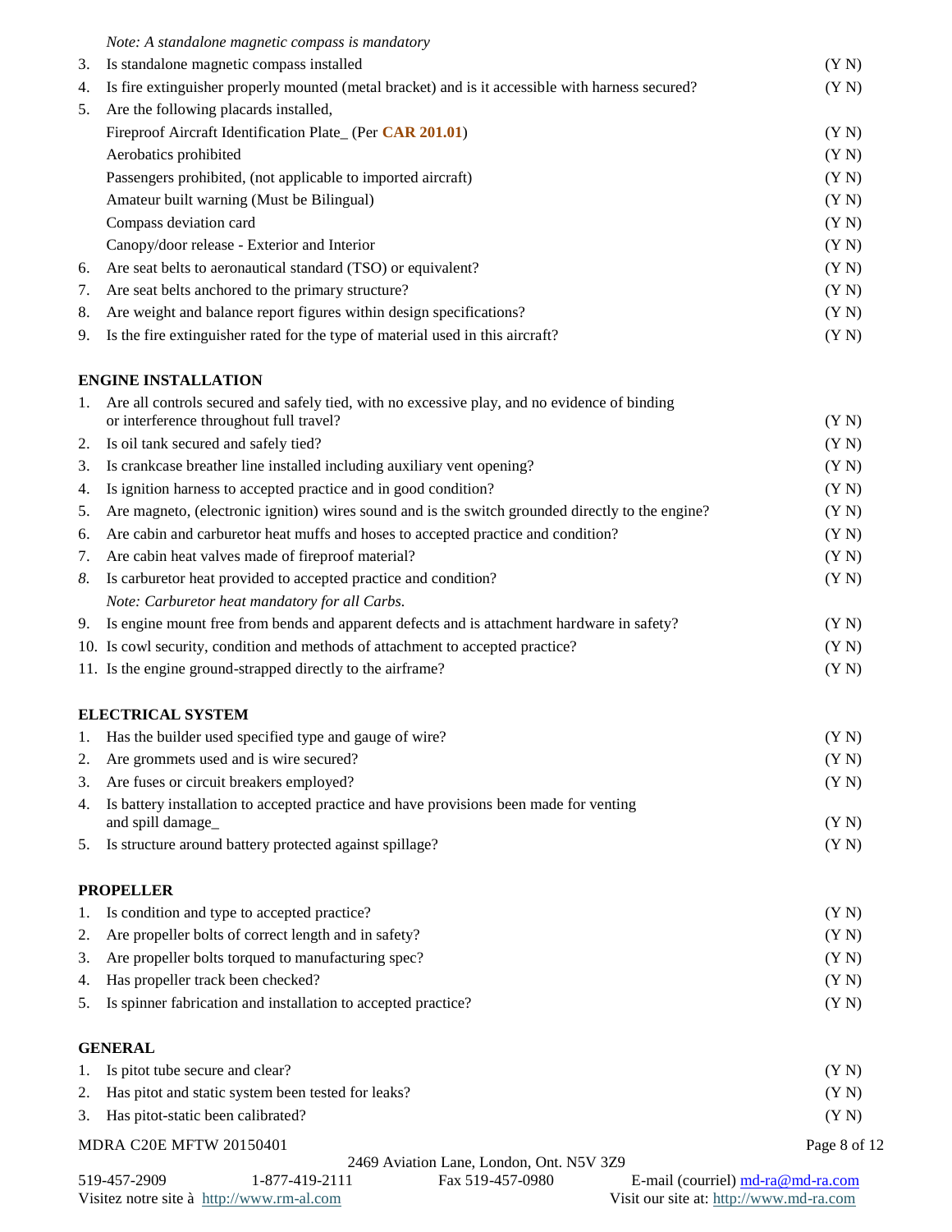| 4.<br>5. | Is fire extinguisher properly mounted (metal bracket) and is it accessible with harness secured?<br>Are the following placards installed, | (Y N)          |
|----------|-------------------------------------------------------------------------------------------------------------------------------------------|----------------|
|          | Fireproof Aircraft Identification Plate_ (Per CAR 201.01)                                                                                 |                |
|          | Aerobatics prohibited                                                                                                                     | (Y N)<br>(Y N) |
|          | Passengers prohibited, (not applicable to imported aircraft)                                                                              | (Y N)          |
|          | Amateur built warning (Must be Bilingual)                                                                                                 | (Y N)          |
|          | Compass deviation card                                                                                                                    | (Y N)          |
|          | Canopy/door release - Exterior and Interior                                                                                               | (Y N)          |
| 6.       | Are seat belts to aeronautical standard (TSO) or equivalent?                                                                              | (Y N)          |
| 7.       | Are seat belts anchored to the primary structure?                                                                                         | (Y N)          |
| 8.       | Are weight and balance report figures within design specifications?                                                                       | (Y N)          |
| 9.       | Is the fire extinguisher rated for the type of material used in this aircraft?                                                            | (Y N)          |
|          |                                                                                                                                           |                |
|          | <b>ENGINE INSTALLATION</b>                                                                                                                |                |
| 1.       | Are all controls secured and safely tied, with no excessive play, and no evidence of binding                                              |                |
|          | or interference throughout full travel?                                                                                                   | (Y N)          |
| 2.       | Is oil tank secured and safely tied?                                                                                                      | (Y N)          |
| 3.       | Is crankcase breather line installed including auxiliary vent opening?                                                                    | (Y N)          |
| 4.       | Is ignition harness to accepted practice and in good condition?                                                                           | (Y N)          |
| 5.       | Are magneto, (electronic ignition) wires sound and is the switch grounded directly to the engine?                                         | (Y N)          |
| 6.       | Are cabin and carburetor heat muffs and hoses to accepted practice and condition?                                                         | (Y N)          |
| 7.       | Are cabin heat valves made of fireproof material?                                                                                         | (Y N)          |
| 8.       | Is carburetor heat provided to accepted practice and condition?                                                                           | (Y N)          |
|          | Note: Carburetor heat mandatory for all Carbs.                                                                                            |                |
| 9.       | Is engine mount free from bends and apparent defects and is attachment hardware in safety?                                                | (Y N)          |
|          | 10. Is cowl security, condition and methods of attachment to accepted practice?                                                           | (Y N)          |
|          | 11. Is the engine ground-strapped directly to the airframe?                                                                               | (Y N)          |
|          | <b>ELECTRICAL SYSTEM</b>                                                                                                                  |                |
| 1.       | Has the builder used specified type and gauge of wire?                                                                                    | (Y N)          |
| 2.       | Are grommets used and is wire secured?                                                                                                    | (Y N)          |
| 3.       | Are fuses or circuit breakers employed?                                                                                                   | (Y N)          |
| 4.       | Is battery installation to accepted practice and have provisions been made for venting                                                    |                |
|          | and spill damage_                                                                                                                         | (Y N)          |
| 5.       | Is structure around battery protected against spillage?                                                                                   | (Y N)          |

| 1. Is condition and type to accepted practice?                   | (YN) |
|------------------------------------------------------------------|------|
| 2. Are propeller bolts of correct length and in safety?          | (YN) |
| 3. Are propeller bolts torqued to manufacturing spec?            | (YN) |
| 4. Has propeller track been checked?                             | (YN) |
| 5. Is spinner fabrication and installation to accepted practice? | (YN) |

## **GENERAL**

| 1. Is pitot tube secure and clear?                    | (YN)         |
|-------------------------------------------------------|--------------|
| 2. Has pitot and static system been tested for leaks? | (YN)         |
| 3. Has pitot-static been calibrated?                  | (YN)         |
| MDRA C20E MFTW 20150401                               | Page 8 of 12 |

519-457-2909 1-877-419-2111 Fax 519-457-0980 E-mail (courriel)  $\frac{md-ra@md-ra.com}{md-ra.com}$ <br>Visit our site at: http://www.rm-al.com Visit our site at: http://www.md-ra.com Visitez notre site à http://www.rm-al.com

2469 Aviation Lane, London, Ont. N5V 3Z9<br>1-877-419-2111 Fax 519-457-0980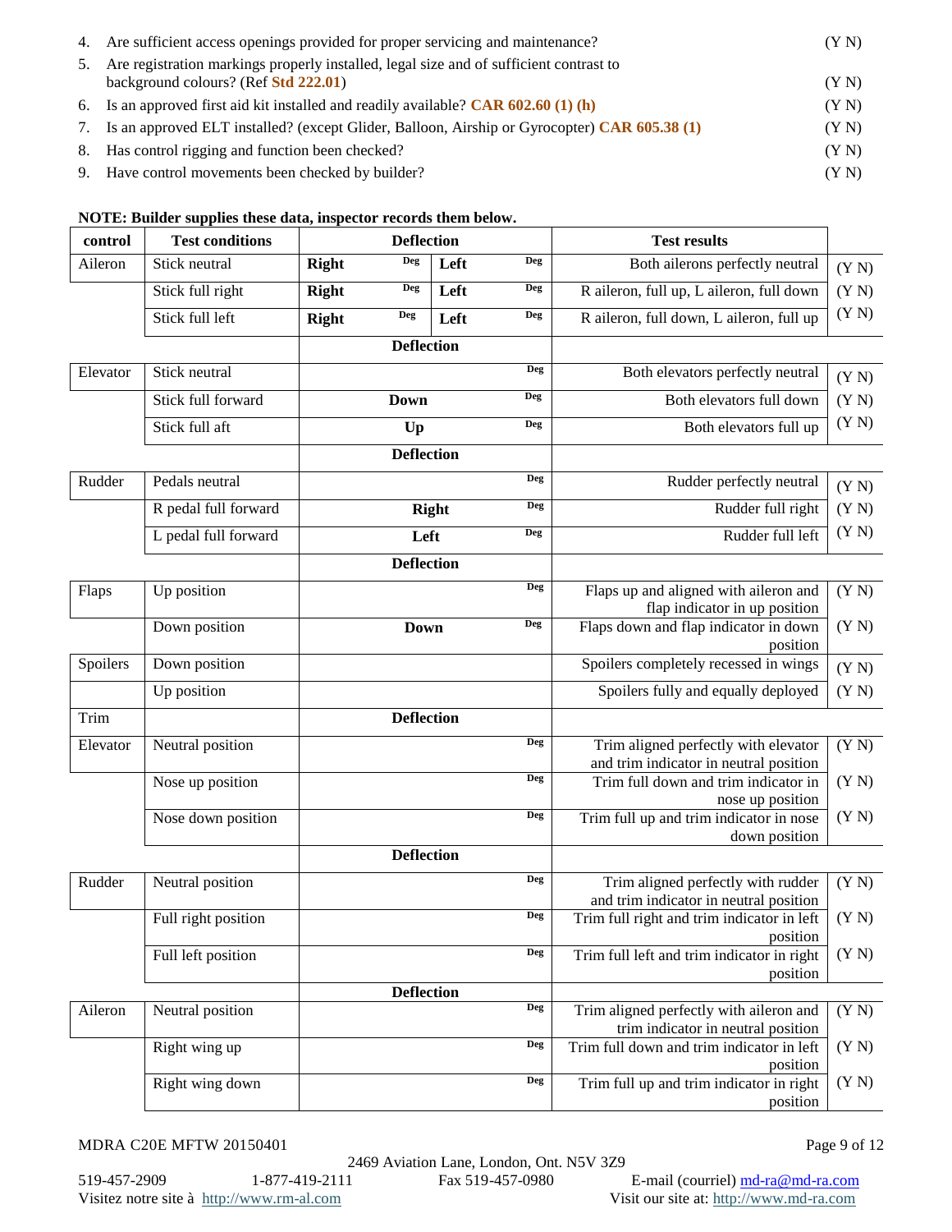|    | 4. Are sufficient access openings provided for proper servicing and maintenance?                                               | (YN) |
|----|--------------------------------------------------------------------------------------------------------------------------------|------|
| 5. | Are registration markings properly installed, legal size and of sufficient contrast to<br>background colours? (Ref Std 222.01) | (YN) |
|    | 6. Is an approved first aid kit installed and readily available? CAR $602.60$ (1) (h)                                          | (YN) |
|    | 7. Is an approved ELT installed? (except Glider, Balloon, Airship or Gyrocopter) CAR 605.38 (1)                                | (YN) |
|    | 8. Has control rigging and function been checked?                                                                              | (YN) |
|    | 9. Have control movements been checked by builder?                                                                             | (YN) |

#### **NOTE: Builder supplies these data, inspector records them below.**

| control  | <b>Test conditions</b> | <b>Deflection</b> |                   |              | <b>Test results</b> |                                                          |       |
|----------|------------------------|-------------------|-------------------|--------------|---------------------|----------------------------------------------------------|-------|
| Aileron  | Stick neutral          | <b>Right</b>      | <b>Deg</b>        | Left         | <b>Deg</b>          | Both ailerons perfectly neutral                          | (Y N) |
|          | Stick full right       | <b>Right</b>      | <b>Deg</b>        | Left         | <b>Deg</b>          | R aileron, full up, L aileron, full down                 | (Y N) |
|          | Stick full left        | <b>Right</b>      | <b>Deg</b>        | Left         | <b>Deg</b>          | R aileron, full down, L aileron, full up                 | (Y N) |
|          |                        |                   | <b>Deflection</b> |              |                     |                                                          |       |
| Elevator | Stick neutral          |                   |                   |              | Deg                 | Both elevators perfectly neutral                         | (Y N) |
|          | Stick full forward     |                   | <b>Down</b>       |              | <b>Deg</b>          | Both elevators full down                                 | (Y N) |
|          | Stick full aft         |                   | Up                |              | <b>Deg</b>          | Both elevators full up                                   | (Y N) |
|          |                        |                   | <b>Deflection</b> |              |                     |                                                          |       |
| Rudder   | Pedals neutral         |                   |                   |              | Deg                 | Rudder perfectly neutral                                 | (Y N) |
|          | R pedal full forward   |                   |                   | <b>Right</b> | <b>Deg</b>          | Rudder full right                                        | (Y N) |
|          | L pedal full forward   |                   | Left              |              | <b>Deg</b>          | Rudder full left                                         | (Y N) |
|          |                        |                   | <b>Deflection</b> |              |                     |                                                          |       |
| Flaps    | Up position            |                   |                   |              | <b>Deg</b>          | Flaps up and aligned with aileron and                    | (Y N) |
|          |                        |                   |                   |              | <b>Deg</b>          | flap indicator in up position                            |       |
|          | Down position          |                   | <b>Down</b>       |              |                     | Flaps down and flap indicator in down<br>position        | (Y N) |
| Spoilers | Down position          |                   |                   |              |                     | Spoilers completely recessed in wings                    | (Y N) |
|          | Up position            |                   |                   |              |                     | Spoilers fully and equally deployed                      | (Y N) |
| Trim     |                        |                   | <b>Deflection</b> |              |                     |                                                          |       |
| Elevator | Neutral position       |                   |                   |              | <b>Deg</b>          | Trim aligned perfectly with elevator                     | (Y N) |
|          |                        |                   |                   |              | <b>Deg</b>          | and trim indicator in neutral position                   |       |
|          | Nose up position       |                   |                   |              |                     | Trim full down and trim indicator in<br>nose up position | (Y N) |
|          | Nose down position     |                   |                   |              | <b>Deg</b>          | Trim full up and trim indicator in nose                  | (Y N) |
|          |                        |                   |                   |              |                     | down position                                            |       |
|          |                        |                   | <b>Deflection</b> |              |                     |                                                          |       |
| Rudder   | Neutral position       |                   |                   |              | <b>Deg</b>          | Trim aligned perfectly with rudder                       | (Y N) |
|          |                        |                   |                   |              |                     | and trim indicator in neutral position                   |       |
|          | Full right position    |                   |                   |              | Deg                 | Trim full right and trim indicator in left               | (Y N) |
|          | Full left position     |                   |                   |              | <b>Deg</b>          | position<br>Trim full left and trim indicator in right   | (Y N) |
|          |                        |                   |                   |              |                     | position                                                 |       |
|          |                        |                   | <b>Deflection</b> |              |                     |                                                          |       |
| Aileron  | Neutral position       |                   |                   |              | <b>Deg</b>          | Trim aligned perfectly with aileron and                  | (Y N) |
|          |                        |                   |                   |              |                     | trim indicator in neutral position                       |       |
|          | Right wing up          |                   |                   |              | Deg                 | Trim full down and trim indicator in left<br>position    | (Y N) |
|          | Right wing down        |                   |                   |              | <b>Deg</b>          | Trim full up and trim indicator in right                 | (Y N) |
|          |                        |                   |                   |              |                     | position                                                 |       |

MDRA C20E MFTW 20150401 Page 9 of 12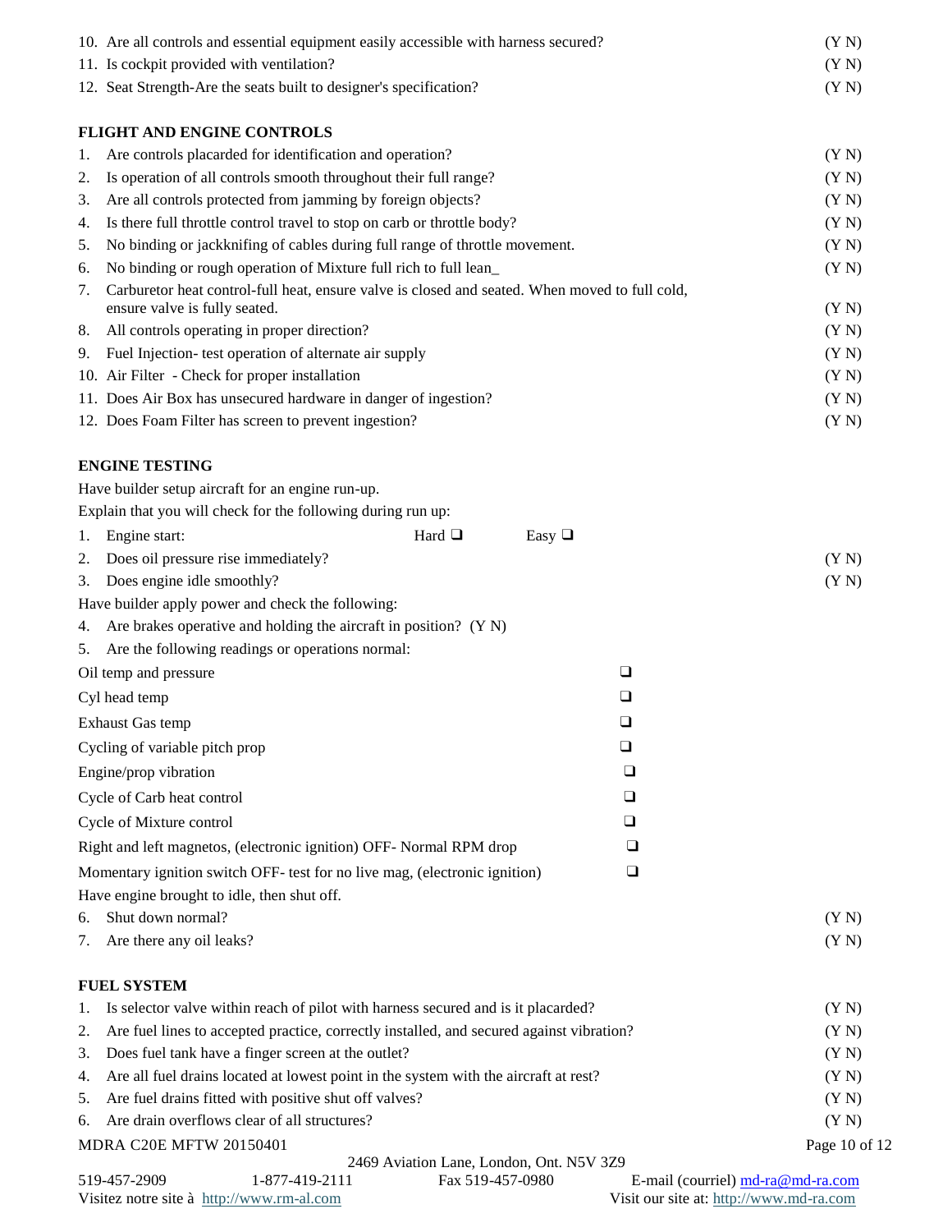|    | 10. Are all controls and essential equipment easily accessible with harness secured?           | (Y N)                                   |
|----|------------------------------------------------------------------------------------------------|-----------------------------------------|
|    | 11. Is cockpit provided with ventilation?                                                      | (Y N)                                   |
|    | 12. Seat Strength-Are the seats built to designer's specification?                             | (Y N)                                   |
|    | FLIGHT AND ENGINE CONTROLS                                                                     |                                         |
| 1. | Are controls placarded for identification and operation?                                       | (Y N)                                   |
| 2. | Is operation of all controls smooth throughout their full range?                               | (Y N)                                   |
| 3. | Are all controls protected from jamming by foreign objects?                                    | (Y N)                                   |
| 4. | Is there full throttle control travel to stop on carb or throttle body?                        | (Y N)                                   |
| 5. | No binding or jackknifing of cables during full range of throttle movement.                    | (Y N)                                   |
| 6. | No binding or rough operation of Mixture full rich to full lean_                               | (Y N)                                   |
| 7. | Carburetor heat control-full heat, ensure valve is closed and seated. When moved to full cold, |                                         |
|    | ensure valve is fully seated.                                                                  | (Y N)                                   |
| 8. | All controls operating in proper direction?                                                    | (Y N)                                   |
| 9. | Fuel Injection- test operation of alternate air supply                                         | (Y N)                                   |
|    | 10. Air Filter - Check for proper installation                                                 | (Y N)                                   |
|    | 11. Does Air Box has unsecured hardware in danger of ingestion?                                | (Y N)                                   |
|    | 12. Does Foam Filter has screen to prevent ingestion?                                          | (Y N)                                   |
|    | <b>ENGINE TESTING</b>                                                                          |                                         |
|    | Have builder setup aircraft for an engine run-up.                                              |                                         |
|    | Explain that you will check for the following during run up:                                   |                                         |
| 1. | Hard $\Box$<br>Easy $\Box$<br>Engine start:                                                    |                                         |
| 2. | Does oil pressure rise immediately?                                                            | (Y N)                                   |
| 3. | Does engine idle smoothly?                                                                     | (Y N)                                   |
|    | Have builder apply power and check the following:                                              |                                         |
| 4. | Are brakes operative and holding the aircraft in position? (Y N)                               |                                         |
| 5. | Are the following readings or operations normal:                                               |                                         |
|    | $\Box$<br>Oil temp and pressure                                                                |                                         |
|    | $\Box$<br>Cyl head temp                                                                        |                                         |
|    |                                                                                                |                                         |
|    | $\Box$<br><b>Exhaust Gas temp</b>                                                              |                                         |
|    | Cycling of variable pitch prop<br>$\Box$                                                       |                                         |
|    | Engine/prop vibration<br>❏                                                                     |                                         |
|    | Cycle of Carb heat control<br>❏                                                                |                                         |
|    | Cycle of Mixture control<br>u                                                                  |                                         |
|    | Right and left magnetos, (electronic ignition) OFF- Normal RPM drop<br>⊔                       |                                         |
|    | Momentary ignition switch OFF- test for no live mag, (electronic ignition)<br>❏                |                                         |
|    | Have engine brought to idle, then shut off.                                                    |                                         |
| 6. | Shut down normal?                                                                              | (Y N)                                   |
| 7. | Are there any oil leaks?                                                                       | (Y N)                                   |
|    | <b>FUEL SYSTEM</b>                                                                             |                                         |
| 1. | Is selector valve within reach of pilot with harness secured and is it placarded?              | (Y N)                                   |
| 2. | Are fuel lines to accepted practice, correctly installed, and secured against vibration?       | (Y N)                                   |
| 3. | Does fuel tank have a finger screen at the outlet?                                             | (Y N)                                   |
| 4. | Are all fuel drains located at lowest point in the system with the aircraft at rest?           | (Y N)                                   |
| 5. | Are fuel drains fitted with positive shut off valves?                                          | (Y N)                                   |
| 6. | Are drain overflows clear of all structures?                                                   | (Y N)                                   |
|    |                                                                                                |                                         |
|    | MDRA C20E MFTW 20150401<br>2469 Aviation Lane, London, Ont. N5V 3Z9                            | Page 10 of 12                           |
|    | 519-457-2909<br>1-877-419-2111<br>Fax 519-457-0980                                             | E-mail (courriel) md-ra@md-ra.com       |
|    | Visitez notre site à http://www.rm-al.com                                                      | Visit our site at: http://www.md-ra.com |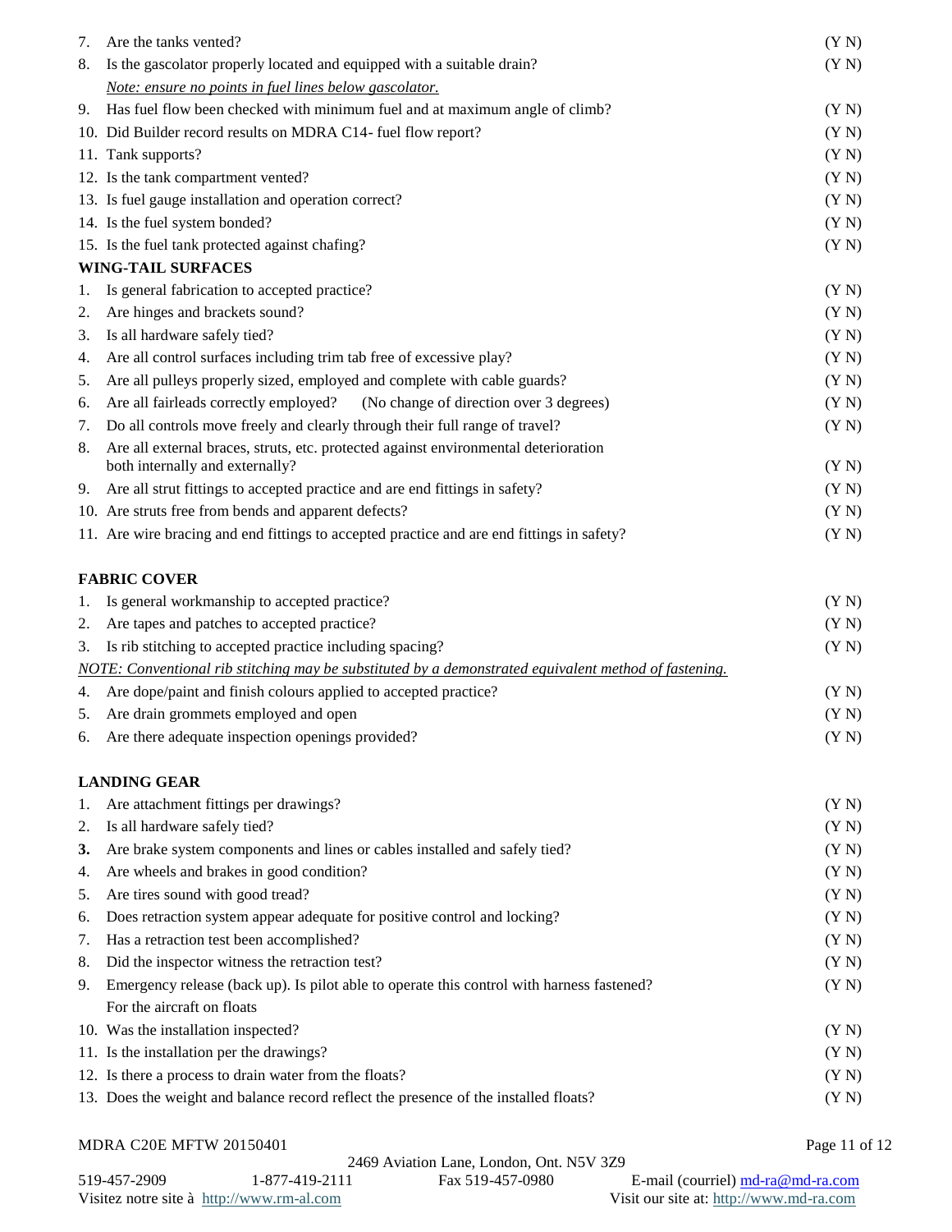| 7. | Are the tanks vented?                                                                                                   | (Y N) |
|----|-------------------------------------------------------------------------------------------------------------------------|-------|
| 8. | Is the gascolator properly located and equipped with a suitable drain?                                                  | (Y N) |
|    | Note: ensure no points in fuel lines below gascolator.                                                                  |       |
| 9. | Has fuel flow been checked with minimum fuel and at maximum angle of climb?                                             | (Y N) |
|    | 10. Did Builder record results on MDRA C14- fuel flow report?                                                           | (Y N) |
|    | 11. Tank supports?                                                                                                      | (Y N) |
|    | 12. Is the tank compartment vented?                                                                                     | (Y N) |
|    | 13. Is fuel gauge installation and operation correct?                                                                   | (Y N) |
|    | 14. Is the fuel system bonded?                                                                                          | (Y N) |
|    | 15. Is the fuel tank protected against chafing?                                                                         | (Y N) |
|    | <b>WING-TAIL SURFACES</b>                                                                                               |       |
| 1. | Is general fabrication to accepted practice?                                                                            | (Y N) |
| 2. | Are hinges and brackets sound?                                                                                          | (Y N) |
| 3. | Is all hardware safely tied?                                                                                            | (Y N) |
| 4. | Are all control surfaces including trim tab free of excessive play?                                                     | (Y N) |
| 5. | Are all pulleys properly sized, employed and complete with cable guards?                                                | (Y N) |
| 6. | (No change of direction over 3 degrees)<br>Are all fairleads correctly employed?                                        | (Y N) |
| 7. | Do all controls move freely and clearly through their full range of travel?                                             | (Y N) |
| 8. | Are all external braces, struts, etc. protected against environmental deterioration<br>both internally and externally?  | (Y N) |
| 9. | Are all strut fittings to accepted practice and are end fittings in safety?                                             | (Y N) |
|    | 10. Are struts free from bends and apparent defects?                                                                    | (Y N) |
|    | 11. Are wire bracing and end fittings to accepted practice and are end fittings in safety?                              | (Y N) |
|    |                                                                                                                         |       |
|    | <b>FABRIC COVER</b>                                                                                                     |       |
| 1. | Is general workmanship to accepted practice?                                                                            | (Y N) |
| 2. | Are tapes and patches to accepted practice?                                                                             | (Y N) |
| 3. | Is rib stitching to accepted practice including spacing?                                                                | (Y N) |
|    | NOTE: Conventional rib stitching may be substituted by a demonstrated equivalent method of fastening.                   |       |
| 4. | Are dope/paint and finish colours applied to accepted practice?                                                         | (Y N) |
| 5. | Are drain grommets employed and open                                                                                    | (Y N) |
|    | 6. Are there adequate inspection openings provided?                                                                     | (Y N) |
|    | <b>LANDING GEAR</b>                                                                                                     |       |
| 1. | Are attachment fittings per drawings?                                                                                   | (Y N) |
| 2. | Is all hardware safely tied?                                                                                            | (Y N) |
| 3. | Are brake system components and lines or cables installed and safely tied?                                              | (Y N) |
| 4. | Are wheels and brakes in good condition?                                                                                | (YN)  |
| 5. | Are tires sound with good tread?                                                                                        | (Y N) |
| 6. | Does retraction system appear adequate for positive control and locking?                                                | (Y N) |
| 7. | Has a retraction test been accomplished?                                                                                | (Y N) |
| 8. | Did the inspector witness the retraction test?                                                                          | (Y N) |
|    |                                                                                                                         | (Y N) |
| 9. | Emergency release (back up). Is pilot able to operate this control with harness fastened?<br>For the aircraft on floats |       |
|    | 10. Was the installation inspected?                                                                                     | (Y N) |
|    | 11. Is the installation per the drawings?                                                                               | (Y N) |
|    | 12. Is there a process to drain water from the floats?                                                                  | (Y N) |
|    | 13. Does the weight and balance record reflect the presence of the installed floats?                                    | (Y N) |
|    |                                                                                                                         |       |

|  | <b>MDRA C20E MFTW 20150401</b> |  |
|--|--------------------------------|--|
|  |                                |  |

Page 11 of 12  $\,$